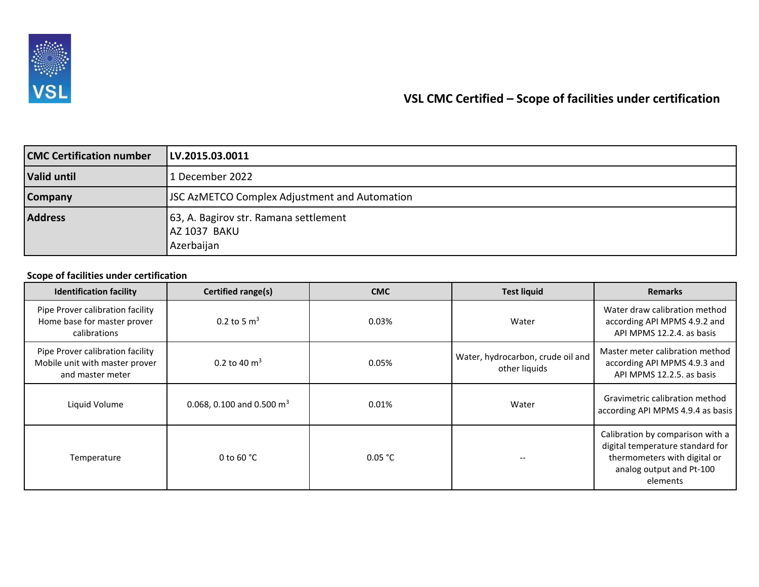

## **VSL CMC Certified – Scope of facilities under certification**

| <b>CMC Certification number</b> | LV.2015.03.0011                                                     |  |  |
|---------------------------------|---------------------------------------------------------------------|--|--|
| <b>Valid until</b>              | 1 December 2022                                                     |  |  |
| <b>Company</b>                  | <b>JSC AzMETCO Complex Adjustment and Automation</b>                |  |  |
| <b>Address</b>                  | 63, A. Bagirov str. Ramana settlement<br>AZ 1037 BAKU<br>Azerbaijan |  |  |

## **Scope of facilities under certification**

| <b>Identification facility</b>                                                         | Certified range(s)                  | <b>CMC</b> | <b>Test liquid</b>                                 | <b>Remarks</b>                                                                                                                               |
|----------------------------------------------------------------------------------------|-------------------------------------|------------|----------------------------------------------------|----------------------------------------------------------------------------------------------------------------------------------------------|
| Pipe Prover calibration facility<br>Home base for master prover<br>calibrations        | 0.2 to 5 $\rm m^3$                  | 0.03%      | Water                                              | Water draw calibration method<br>according API MPMS 4.9.2 and<br>API MPMS 12.2.4. as basis                                                   |
| Pipe Prover calibration facility<br>Mobile unit with master prover<br>and master meter | 0.2 to 40 $\rm m^3$                 | 0.05%      | Water, hydrocarbon, crude oil and<br>other liquids | Master meter calibration method<br>according API MPMS 4.9.3 and<br>API MPMS 12.2.5, as basis                                                 |
| Liquid Volume                                                                          | 0.068, 0.100 and 0.500 $\text{m}^3$ | 0.01%      | Water                                              | Gravimetric calibration method<br>according API MPMS 4.9.4 as basis                                                                          |
| Temperature                                                                            | 0 to 60 $^{\circ}$ C                | 0.05 °C    |                                                    | Calibration by comparison with a<br>digital temperature standard for<br>thermometers with digital or<br>analog output and Pt-100<br>elements |